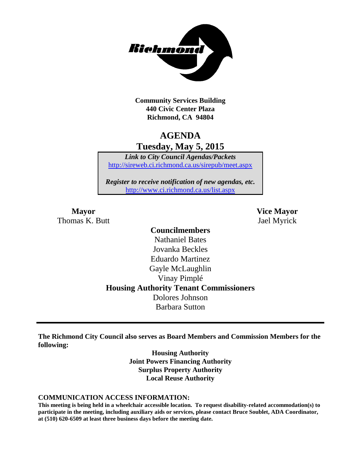

**Community Services Building 440 Civic Center Plaza Richmond, CA 94804**

# **AGENDA Tuesday, May 5, 2015**

*Link to City Council Agendas/Packets* <http://sireweb.ci.richmond.ca.us/sirepub/meet.aspx>

*Register to receive notification of new agendas, etc.* <http://www.ci.richmond.ca.us/list.aspx>

Thomas K. Butt Jael Myrick

**Mayor Vice Mayor**

# **Councilmembers** Nathaniel Bates Jovanka Beckles Eduardo Martinez Gayle McLaughlin Vinay Pimplé **Housing Authority Tenant Commissioners** Dolores Johnson Barbara Sutton

**The Richmond City Council also serves as Board Members and Commission Members for the following:**

> **Housing Authority Joint Powers Financing Authority Surplus Property Authority Local Reuse Authority**

#### **COMMUNICATION ACCESS INFORMATION:**

**This meeting is being held in a wheelchair accessible location. To request disability-related accommodation(s) to participate in the meeting, including auxiliary aids or services, please contact Bruce Soublet, ADA Coordinator, at (510) 620-6509 at least three business days before the meeting date.**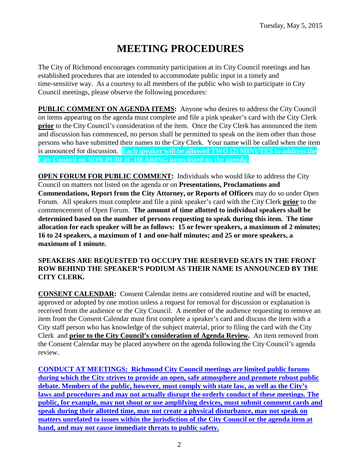# **MEETING PROCEDURES**

The City of Richmond encourages community participation at its City Council meetings and has established procedures that are intended to accommodate public input in a timely and time-sensitive way. As a courtesy to all members of the public who wish to participate in City Council meetings, please observe the following procedures:

**PUBLIC COMMENT ON AGENDA ITEMS:** Anyone who desires to address the City Council on items appearing on the agenda must complete and file a pink speaker's card with the City Clerk **prior** to the City Council's consideration of the item. Once the City Clerk has announced the item and discussion has commenced, no person shall be permitted to speak on the item other than those persons who have submitted their names to the City Clerk. Your name will be called when the item is announced for discussion. **Each speaker will be allowed TWO (2) MINUTES to address the City Council on NON-PUBLIC HEARING items listed on the agenda.**

**OPEN FORUM FOR PUBLIC COMMENT:** Individuals who would like to address the City Council on matters not listed on the agenda or on **Presentations, Proclamations and Commendations, Report from the City Attorney, or Reports of Officers** may do so under Open Forum. All speakers must complete and file a pink speaker's card with the City Clerk **prior** to the commencement of Open Forum. **The amount of time allotted to individual speakers shall be determined based on the number of persons requesting to speak during this item. The time allocation for each speaker will be as follows: 15 or fewer speakers, a maximum of 2 minutes; 16 to 24 speakers, a maximum of 1 and one-half minutes; and 25 or more speakers, a maximum of 1 minute.**

#### **SPEAKERS ARE REQUESTED TO OCCUPY THE RESERVED SEATS IN THE FRONT ROW BEHIND THE SPEAKER'S PODIUM AS THEIR NAME IS ANNOUNCED BY THE CITY CLERK.**

**CONSENT CALENDAR:** Consent Calendar items are considered routine and will be enacted, approved or adopted by one motion unless a request for removal for discussion or explanation is received from the audience or the City Council. A member of the audience requesting to remove an item from the Consent Calendar must first complete a speaker's card and discuss the item with a City staff person who has knowledge of the subject material, prior to filing the card with the City Clerk and **prior to the City Council's consideration of Agenda Review.** An item removed from the Consent Calendar may be placed anywhere on the agenda following the City Council's agenda review.

**CONDUCT AT MEETINGS: Richmond City Council meetings are limited public forums during which the City strives to provide an open, safe atmosphere and promote robust public debate. Members of the public, however, must comply with state law, as well as the City's laws and procedures and may not actually disrupt the orderly conduct of these meetings. The public, for example, may not shout or use amplifying devices, must submit comment cards and speak during their allotted time, may not create a physical disturbance, may not speak on matters unrelated to issues within the jurisdiction of the City Council or the agenda item at hand, and may not cause immediate threats to public safety.**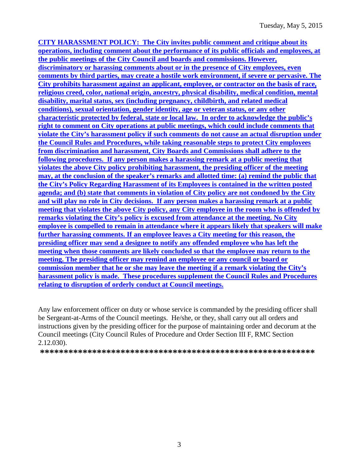**CITY HARASSMENT POLICY: The City invites public comment and critique about its operations, including comment about the performance of its public officials and employees, at the public meetings of the City Council and boards and commissions. However, discriminatory or harassing comments about or in the presence of City employees, even comments by third parties, may create a hostile work environment, if severe or pervasive. The City prohibits harassment against an applicant, employee, or contractor on the basis of race, religious creed, color, national origin, ancestry, physical disability, medical condition, mental disability, marital status, sex (including pregnancy, childbirth, and related medical conditions), sexual orientation, gender identity, age or veteran status, or any other characteristic protected by federal, state or local law. In order to acknowledge the public's right to comment on City operations at public meetings, which could include comments that violate the City's harassment policy if such comments do not cause an actual disruption under the Council Rules and Procedures, while taking reasonable steps to protect City employees from discrimination and harassment, City Boards and Commissions shall adhere to the following procedures. If any person makes a harassing remark at a public meeting that violates the above City policy prohibiting harassment, the presiding officer of the meeting may, at the conclusion of the speaker's remarks and allotted time: (a) remind the public that the City's Policy Regarding Harassment of its Employees is contained in the written posted agenda; and (b) state that comments in violation of City policy are not condoned by the City and will play no role in City decisions. If any person makes a harassing remark at a public meeting that violates the above City policy, any City employee in the room who is offended by remarks violating the City's policy is excused from attendance at the meeting. No City employee is compelled to remain in attendance where it appears likely that speakers will make further harassing comments. If an employee leaves a City meeting for this reason, the presiding officer may send a designee to notify any offended employee who has left the meeting when those comments are likely concluded so that the employee may return to the meeting. The presiding officer may remind an employee or any council or board or commission member that he or she may leave the meeting if a remark violating the City's harassment policy is made. These procedures supplement the Council Rules and Procedures relating to disruption of orderly conduct at Council meetings.**

Any law enforcement officer on duty or whose service is commanded by the presiding officer shall be Sergeant-at-Arms of the Council meetings. He/she, or they, shall carry out all orders and instructions given by the presiding officer for the purpose of maintaining order and decorum at the Council meetings (City Council Rules of Procedure and Order Section III F, RMC Section 2.12.030).

**\*\*\*\*\*\*\*\*\*\*\*\*\*\*\*\*\*\*\*\*\*\*\*\*\*\*\*\*\*\*\*\*\*\*\*\*\*\*\*\*\*\*\*\*\*\*\*\*\*\*\*\*\*\*\*\*\*\***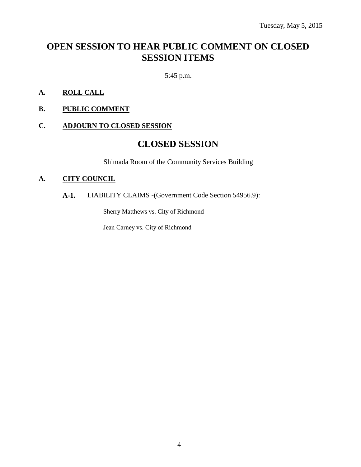# **OPEN SESSION TO HEAR PUBLIC COMMENT ON CLOSED SESSION ITEMS**

5:45 p.m.

- **A. ROLL CALL**
- **B. PUBLIC COMMENT**

#### **C. ADJOURN TO CLOSED SESSION**

# **CLOSED SESSION**

Shimada Room of the Community Services Building

#### **A. CITY COUNCIL**

### **A-1.** LIABILITY CLAIMS -(Government Code Section 54956.9):

Sherry Matthews vs. City of Richmond

Jean Carney vs. City of Richmond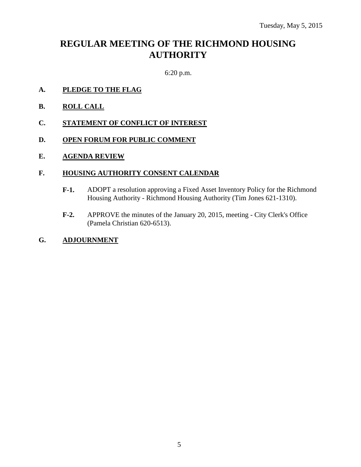# **REGULAR MEETING OF THE RICHMOND HOUSING AUTHORITY**

6:20 p.m.

- **A. PLEDGE TO THE FLAG**
- **B. ROLL CALL**
- **C. STATEMENT OF CONFLICT OF INTEREST**
- **D. OPEN FORUM FOR PUBLIC COMMENT**
- **E. AGENDA REVIEW**

#### **F. HOUSING AUTHORITY CONSENT CALENDAR**

- **F-1.** ADOPT a resolution approving a Fixed Asset Inventory Policy for the Richmond Housing Authority - Richmond Housing Authority (Tim Jones 621-1310).
- **F-2.** APPROVE the minutes of the January 20, 2015, meeting City Clerk's Office (Pamela Christian 620-6513).

# **G. ADJOURNMENT**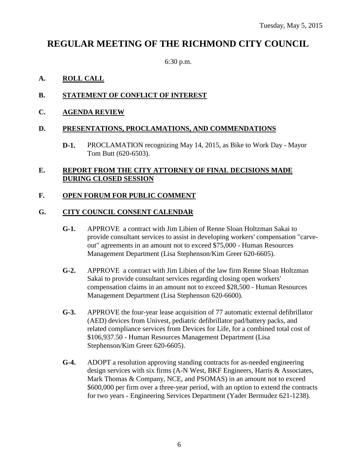# **REGULAR MEETING OF THE RICHMOND CITY COUNCIL**

6:30 p.m.

### **A. ROLL CALL**

### **B. STATEMENT OF CONFLICT OF INTEREST**

**C. AGENDA REVIEW**

#### **D. PRESENTATIONS, PROCLAMATIONS, AND COMMENDATIONS**

**D-1.** PROCLAMATION recognizing May 14, 2015, as Bike to Work Day - Mayor Tom Butt (620-6503).

### **E. REPORT FROM THE CITY ATTORNEY OF FINAL DECISIONS MADE DURING CLOSED SESSION**

#### **F. OPEN FORUM FOR PUBLIC COMMENT**

#### **G. CITY COUNCIL CONSENT CALENDAR**

- **G-1.** APPROVE a contract with Jim Libien of Renne Sloan Holtzman Sakai to provide consultant services to assist in developing workers' compensation "carveout" agreements in an amount not to exceed \$75,000 - Human Resources Management Department (Lisa Stephenson/Kim Greer 620-6605).
- **G-2.** APPROVE a contract with Jim Libien of the law firm Renne Sloan Holtzman Sakai to provide consultant services regarding closing open workers' compensation claims in an amount not to exceed \$28,500 - Human Resources Management Department (Lisa Stephenson 620-6600).
- **G-3.** APPROVE the four-year lease acquisition of 77 automatic external defibrillator (AED) devices from Univest, pediatric defibrillator pad/battery packs, and related compliance services from Devices for Life, for a combined total cost of \$106,937.50 - Human Resources Management Department (Lisa Stephenson/Kim Greer 620-6605).
- **G-4.** ADOPT a resolution approving standing contracts for as-needed engineering design services with six firms (A-N West, BKF Engineers, Harris & Associates, Mark Thomas & Company, NCE, and PSOMAS) in an amount not to exceed \$600,000 per firm over a three-year period, with an option to extend the contracts for two years - Engineering Services Department (Yader Bermudez 621-1238).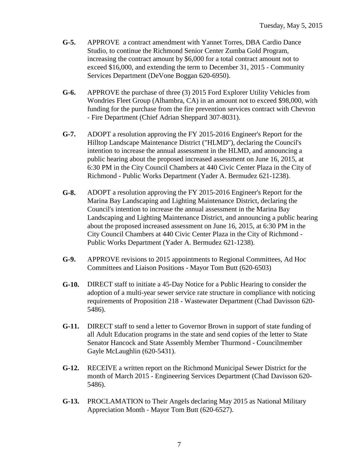- **G-5.** APPROVE a contract amendment with Yannet Torres, DBA Cardio Dance Studio, to continue the Richmond Senior Center Zumba Gold Program, increasing the contract amount by \$6,000 for a total contract amount not to exceed \$16,000, and extending the term to December 31, 2015 - Community Services Department (DeVone Boggan 620-6950).
- **G-6.** APPROVE the purchase of three (3) 2015 Ford Explorer Utility Vehicles from Wondries Fleet Group (Alhambra, CA) in an amount not to exceed \$98,000, with funding for the purchase from the fire prevention services contract with Chevron - Fire Department (Chief Adrian Sheppard 307-8031).
- **G-7.** ADOPT a resolution approving the FY 2015-2016 Engineer's Report for the Hilltop Landscape Maintenance District ("HLMD"), declaring the Council's intention to increase the annual assessment in the HLMD, and announcing a public hearing about the proposed increased assessment on June 16, 2015, at 6:30 PM in the City Council Chambers at 440 Civic Center Plaza in the City of Richmond - Public Works Department (Yader A. Bermudez 621-1238).
- **G-8.** ADOPT a resolution approving the FY 2015-2016 Engineer's Report for the Marina Bay Landscaping and Lighting Maintenance District, declaring the Council's intention to increase the annual assessment in the Marina Bay Landscaping and Lighting Maintenance District, and announcing a public hearing about the proposed increased assessment on June 16, 2015, at 6:30 PM in the City Council Chambers at 440 Civic Center Plaza in the City of Richmond - Public Works Department (Yader A. Bermudez 621-1238).
- **G-9.** APPROVE revisions to 2015 appointments to Regional Committees, Ad Hoc Committees and Liaison Positions - Mayor Tom Butt (620-6503)
- **G-10.** DIRECT staff to initiate a 45-Day Notice for a Public Hearing to consider the adoption of a multi-year sewer service rate structure in compliance with noticing requirements of Proposition 218 - Wastewater Department (Chad Davisson 620- 5486).
- **G-11.** DIRECT staff to send a letter to Governor Brown in support of state funding of all Adult Education programs in the state and send copies of the letter to State Senator Hancock and State Assembly Member Thurmond - Councilmember Gayle McLaughlin (620-5431).
- **G-12.** RECEIVE a written report on the Richmond Municipal Sewer District for the month of March 2015 - Engineering Services Department (Chad Davisson 620- 5486).
- **G-13.** PROCLAMATION to Their Angels declaring May 2015 as National Military Appreciation Month - Mayor Tom Butt (620-6527).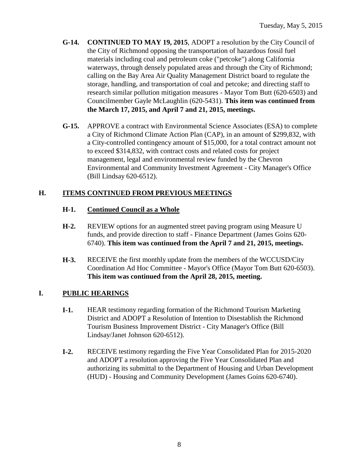- **G-14. CONTINUED TO MAY 19, 2015**, ADOPT a resolution by the City Council of the City of Richmond opposing the transportation of hazardous fossil fuel materials including coal and petroleum coke ("petcoke") along California waterways, through densely populated areas and through the City of Richmond; calling on the Bay Area Air Quality Management District board to regulate the storage, handling, and transportation of coal and petcoke; and directing staff to research similar pollution mitigation measures - Mayor Tom Butt (620-6503) and Councilmember Gayle McLaughlin (620-5431). **This item was continued from the March 17, 2015, and April 7 and 21, 2015, meetings.**
- **G-15.** APPROVE a contract with Environmental Science Associates (ESA) to complete a City of Richmond Climate Action Plan (CAP), in an amount of \$299,832, with a City-controlled contingency amount of \$15,000, for a total contract amount not to exceed \$314,832, with contract costs and related costs for project management, legal and environmental review funded by the Chevron Environmental and Community Investment Agreement - City Manager's Office (Bill Lindsay 620-6512).

# **H. ITEMS CONTINUED FROM PREVIOUS MEETINGS**

# **H-1. Continued Council as a Whole**

- **H-2.** REVIEW options for an augmented street paving program using Measure U funds, and provide direction to staff - Finance Department (James Goins 620- 6740). **This item was continued from the April 7 and 21, 2015, meetings.**
- **H-3.** RECEIVE the first monthly update from the members of the WCCUSD/City Coordination Ad Hoc Committee - Mayor's Office (Mayor Tom Butt 620-6503). **This item was continued from the April 28, 2015, meeting.**

# **I. PUBLIC HEARINGS**

- **I-1.** HEAR testimony regarding formation of the Richmond Tourism Marketing District and ADOPT a Resolution of Intention to Disestablish the Richmond Tourism Business Improvement District - City Manager's Office (Bill Lindsay/Janet Johnson 620-6512).
- **I-2.** RECEIVE testimony regarding the Five Year Consolidated Plan for 2015-2020 and ADOPT a resolution approving the Five Year Consolidated Plan and authorizing its submittal to the Department of Housing and Urban Development (HUD) - Housing and Community Development (James Goins 620-6740).